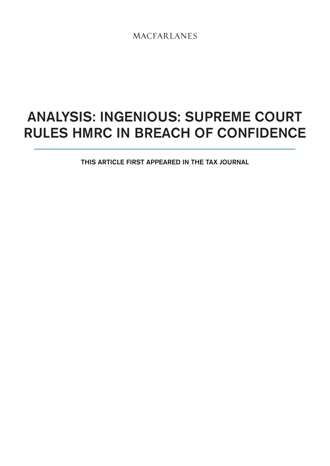**MACFARLANES** 

# analysis: Ingenious: Supreme Court rules HMRC in breach of confidence

This article first appeared in The Tax Journal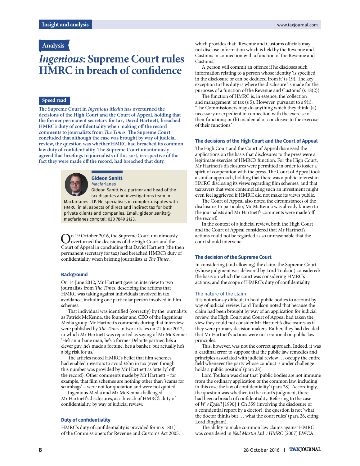### **Analysis**

## **Ingenious: Supreme Court rules HMRC** in breach of confidence

#### **Speed read**

**e Supreme Court in Ingenious Media has overturned the decisions of the High Court and the Court of Appeal, holding that the former permanent secretary for tax, David Hartnett, breached**  HMRC's duty of confidentiality when making off the record comments to journalists from *The Times*. The Supreme Court **concluded that although the case was brought by way of judicial review, the question was whether HMRC had breached its common**  law duty of confidentiality. The Supreme Court unanimously agreed that briefings to journalists of this sort, irrespective of the fact they were made off the record, had breached that duty.



#### **Gideon Sanitt** Macfarlanes

Gideon Sanitt is a partner and head of the tax disputes and investigations team in Macfarlanes LLP. He specialises in complex disputes with HMRC, in all aspects of direct and indirect tax for both private clients and companies. Email: gideon.sanitt@ macfarlanes.com; tel: 020 7849 2123.

**O**n 19 October 2016, the Supreme Court unanimously<br>Court of Appeal in concluding that David Hartnett (the then n 19 October 2016, the Supreme Court unanimously overturned the decisions of the High Court and the permanent secretary for tax) had breached HMRC's duty of confidentiality when briefing journalists at The Times.

#### **Background**

On 14 June 2012, Mr Hartnett gave an interview to two journalists from The Times, describing the actions that HMRC was taking against individuals involved in tax avoidance, including one particular person involved in film schemes.

That individual was identified (correctly) by the journalists as Patrick McKenna, the founder and CEO of the Ingenious Media group. Mr Hartnett's comments during that interview were published by The Times in two articles on 21 June 2012, in which Mr Hartnett was reported as saying of Mr McKenna: 'He's an urbane man, he's a former Deloitte partner, he's a clever guy, he's made a fortune, he's a banker, but actually he's a big risk for us.'

The articles noted HMRC's belief that film schemes had enabled investors to avoid £5bn in tax (even though this number was provided by Mr Hartnett as 'utterly' off the record). Other comments made by Mr Hartnett – for example, that film schemes are nothing other than 'scams for scumbags' – were not for quotation and were not quoted.

Ingenious Media and Mr McKenna challenged Mr Hartnett's disclosures, as a breach of HMRC's duty of confidentiality, by way of judicial review.

#### **Duty of confidentiality**

HMRC's duty of confidentiality is provided for in  $s$  18(1) of the Commissioners for Revenue and Customs Act 2005, which provides that: 'Revenue and Customs officials may not disclose information which is held by the Revenue and Customs in connection with a function of the Revenue and Customs.'

A person will commit an offence if he discloses such information relating to a person whose identity 'is specified in the disclosure or can be deduced from it' (s 19). The key exception to this duty is where the disclosure 'is made for the purposes of a function of the Revenue and Customs' (s 18(2)).

The function of HMRC is, in essence, the 'collection and management' of tax (s 5). However, pursuant to s 9(i): 'The Commissioners may do anything which they think: (a) necessary or expedient in connection with the exercise of their functions; or (b) incidental or conclusive to the exercise of their functions.'

#### **The decisions of the High Court and the Court of Appeal**

The High Court and the Court of Appeal dismissed the applications on the basis that disclosures to the press were a legitimate exercise of HMRC's function. For the High Court, Mr Hartnett's disclosures were permitted in order to foster a spirit of cooperation with the press. The Court of Appeal took a similar approach, holding that there was a public interest in HMRC disclosing its views regarding film schemes; and that taxpayers that were contemplating such an investment might even feel aggrieved if HMRC did not make its views public.

The Court of Appeal also noted the circumstances of the disclosure. In particular, Mr McKenna was already known to the journalists and Mr Hartnett's comments were made 'off the record'.

In the context of a judicial review, both the High Court and the Court of Appeal considered that Mr Hartnett's actions could not be regarded as so unreasonable that the court should intervene.

#### **The decision of the Supreme Court**

In considering (and allowing) the claim, the Supreme Court (whose judgment was delivered by Lord Toulson) considered: the basis on which the court was considering HMRC's actions; and the scope of HMRC's duty of confidentiality.

#### The nature of the claim

It is notoriously difficult to hold public bodies to account by way of judicial review. Lord Toulson noted that because the claim had been brought by way of an application for judicial review, the High Court and Court of Appeal had taken the view they could not consider Mr Hartnett's disclosures as if they were primary decision makers. Rather, they had decided that Mr Hartnett's actions were not irrational on public law principles.

This, however, was not the correct approach. Indeed, it was a 'cardinal error to suppose that the public law remedies and principles associated with judicial review … occupy the entire field whenever the party whose conduct is under challenge holds a public position' (para 28).

Lord Toulson was clear that 'public bodies are not immune from the ordinary application of the common law, including in this case the law of confidentiality' (para 28). Accordingly, the question was whether, in the court's judgment, there had been a breach of confidentiality. Referring to the case of W v Egdell [1990] 1 Ch 359 (involving the disclosure of a confidential report by a doctor), the question is not 'what the doctor thinks but … what the court rules' (para 26, citing Lord Bingham).

The ability to make common law claims against HMRC was considered in Neil Martin Ltd v HMRC [2007] EWCA